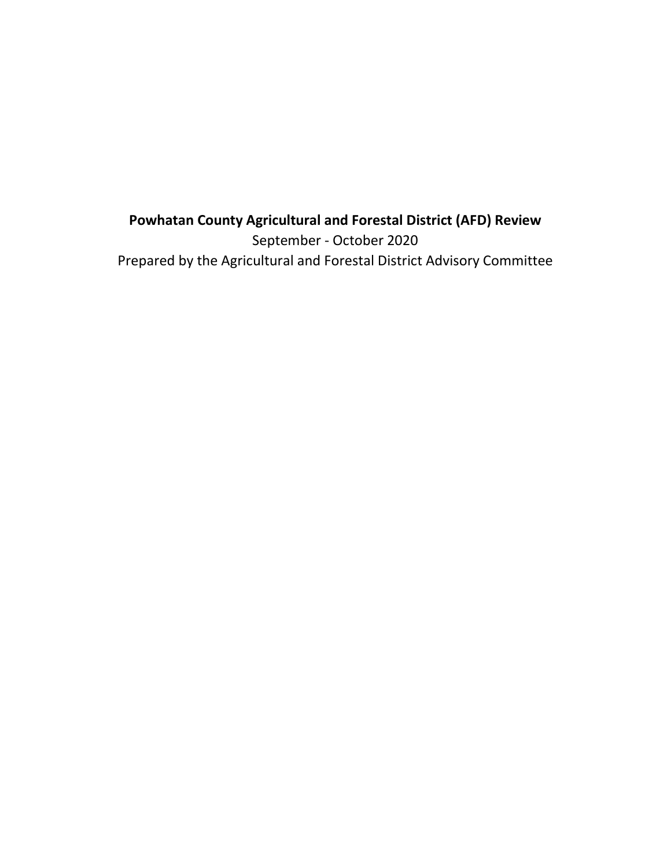# **Powhatan County Agricultural and Forestal District (AFD) Review** September - October 2020 Prepared by the Agricultural and Forestal District Advisory Committee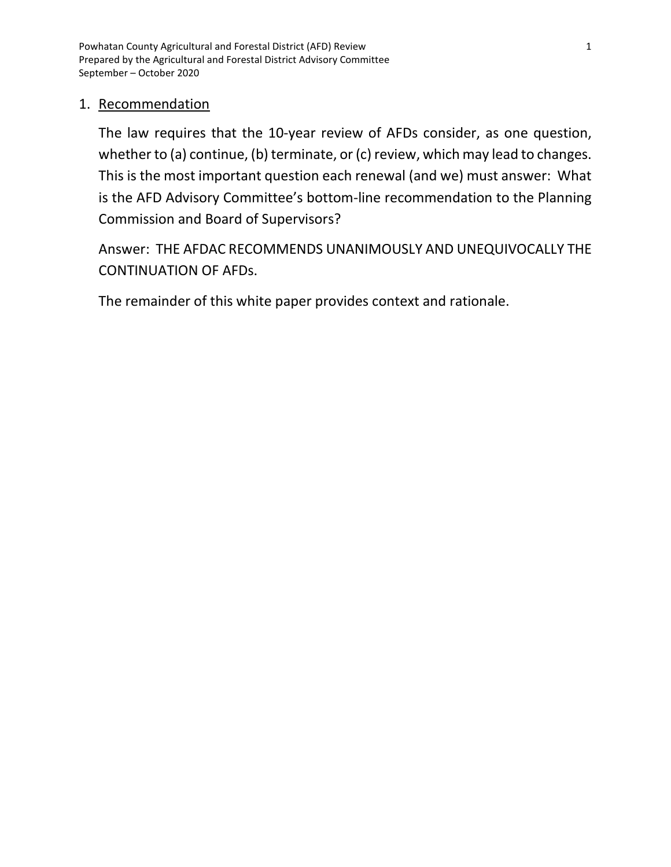Powhatan County Agricultural and Forestal District (AFD) Review 1 Prepared by the Agricultural and Forestal District Advisory Committee September – October 2020

### 1. Recommendation

The law requires that the 10-year review of AFDs consider, as one question, whether to (a) continue, (b) terminate, or (c) review, which may lead to changes. This is the most important question each renewal (and we) must answer: What is the AFD Advisory Committee's bottom-line recommendation to the Planning Commission and Board of Supervisors?

Answer: THE AFDAC RECOMMENDS UNANIMOUSLY AND UNEQUIVOCALLY THE CONTINUATION OF AFDs.

The remainder of this white paper provides context and rationale.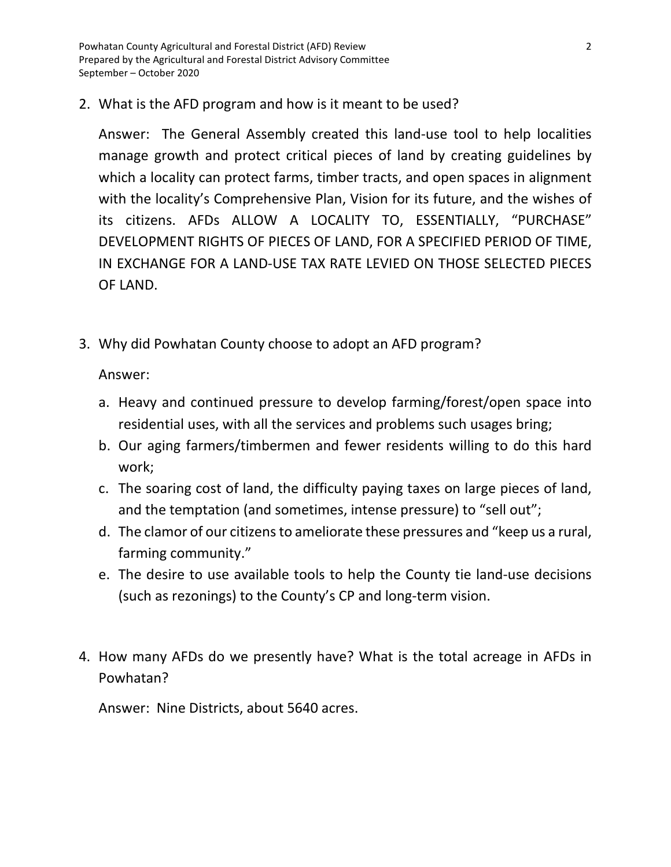Powhatan County Agricultural and Forestal District (AFD) Review 2 Prepared by the Agricultural and Forestal District Advisory Committee September – October 2020

2. What is the AFD program and how is it meant to be used?

Answer: The General Assembly created this land-use tool to help localities manage growth and protect critical pieces of land by creating guidelines by which a locality can protect farms, timber tracts, and open spaces in alignment with the locality's Comprehensive Plan, Vision for its future, and the wishes of its citizens. AFDs ALLOW A LOCALITY TO, ESSENTIALLY, "PURCHASE" DEVELOPMENT RIGHTS OF PIECES OF LAND, FOR A SPECIFIED PERIOD OF TIME, IN EXCHANGE FOR A LAND-USE TAX RATE LEVIED ON THOSE SELECTED PIECES OF LAND.

3. Why did Powhatan County choose to adopt an AFD program?

Answer:

- a. Heavy and continued pressure to develop farming/forest/open space into residential uses, with all the services and problems such usages bring;
- b. Our aging farmers/timbermen and fewer residents willing to do this hard work;
- c. The soaring cost of land, the difficulty paying taxes on large pieces of land, and the temptation (and sometimes, intense pressure) to "sell out";
- d. The clamor of our citizens to ameliorate these pressures and "keep us a rural, farming community."
- e. The desire to use available tools to help the County tie land-use decisions (such as rezonings) to the County's CP and long-term vision.
- 4. How many AFDs do we presently have? What is the total acreage in AFDs in Powhatan?

Answer: Nine Districts, about 5640 acres.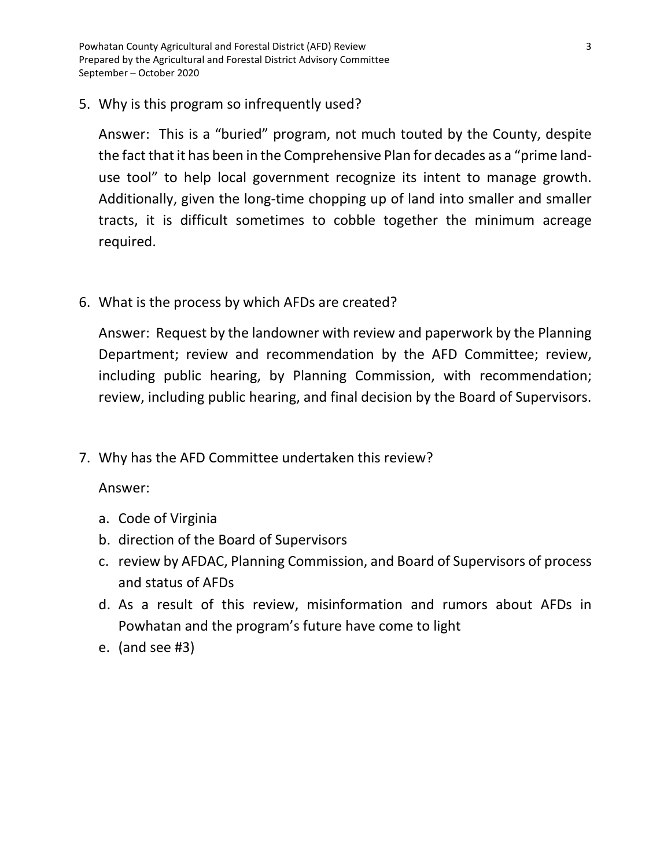Powhatan County Agricultural and Forestal District (AFD) Review 3 Prepared by the Agricultural and Forestal District Advisory Committee September – October 2020

5. Why is this program so infrequently used?

Answer: This is a "buried" program, not much touted by the County, despite the fact that it has been in the Comprehensive Plan for decades as a "prime landuse tool" to help local government recognize its intent to manage growth. Additionally, given the long-time chopping up of land into smaller and smaller tracts, it is difficult sometimes to cobble together the minimum acreage required.

6. What is the process by which AFDs are created?

Answer: Request by the landowner with review and paperwork by the Planning Department; review and recommendation by the AFD Committee; review, including public hearing, by Planning Commission, with recommendation; review, including public hearing, and final decision by the Board of Supervisors.

7. Why has the AFD Committee undertaken this review?

Answer:

- a. Code of Virginia
- b. direction of the Board of Supervisors
- c. review by AFDAC, Planning Commission, and Board of Supervisors of process and status of AFDs
- d. As a result of this review, misinformation and rumors about AFDs in Powhatan and the program's future have come to light
- e. (and see #3)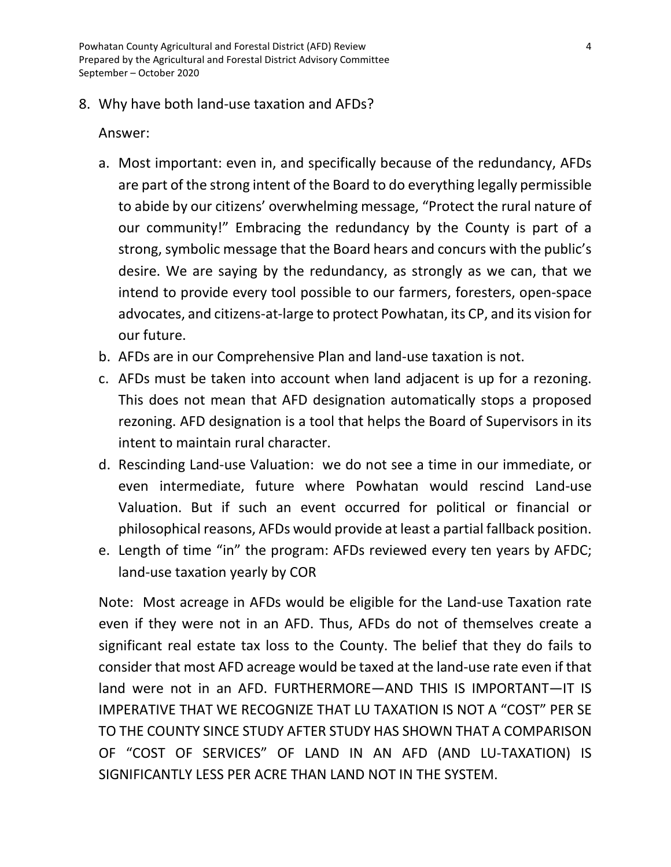Powhatan County Agricultural and Forestal District (AFD) Review 4 Prepared by the Agricultural and Forestal District Advisory Committee September – October 2020

#### 8. Why have both land-use taxation and AFDs?

#### Answer:

- a. Most important: even in, and specifically because of the redundancy, AFDs are part of the strong intent of the Board to do everything legally permissible to abide by our citizens' overwhelming message, "Protect the rural nature of our community!" Embracing the redundancy by the County is part of a strong, symbolic message that the Board hears and concurs with the public's desire. We are saying by the redundancy, as strongly as we can, that we intend to provide every tool possible to our farmers, foresters, open-space advocates, and citizens-at-large to protect Powhatan, its CP, and its vision for our future.
- b. AFDs are in our Comprehensive Plan and land-use taxation is not.
- c. AFDs must be taken into account when land adjacent is up for a rezoning. This does not mean that AFD designation automatically stops a proposed rezoning. AFD designation is a tool that helps the Board of Supervisors in its intent to maintain rural character.
- d. Rescinding Land-use Valuation: we do not see a time in our immediate, or even intermediate, future where Powhatan would rescind Land-use Valuation. But if such an event occurred for political or financial or philosophical reasons, AFDs would provide at least a partial fallback position.
- e. Length of time "in" the program: AFDs reviewed every ten years by AFDC; land-use taxation yearly by COR

Note: Most acreage in AFDs would be eligible for the Land-use Taxation rate even if they were not in an AFD. Thus, AFDs do not of themselves create a significant real estate tax loss to the County. The belief that they do fails to consider that most AFD acreage would be taxed at the land-use rate even if that land were not in an AFD. FURTHERMORE—AND THIS IS IMPORTANT—IT IS IMPERATIVE THAT WE RECOGNIZE THAT LU TAXATION IS NOT A "COST" PER SE TO THE COUNTY SINCE STUDY AFTER STUDY HAS SHOWN THAT A COMPARISON OF "COST OF SERVICES" OF LAND IN AN AFD (AND LU-TAXATION) IS SIGNIFICANTLY LESS PER ACRE THAN LAND NOT IN THE SYSTEM.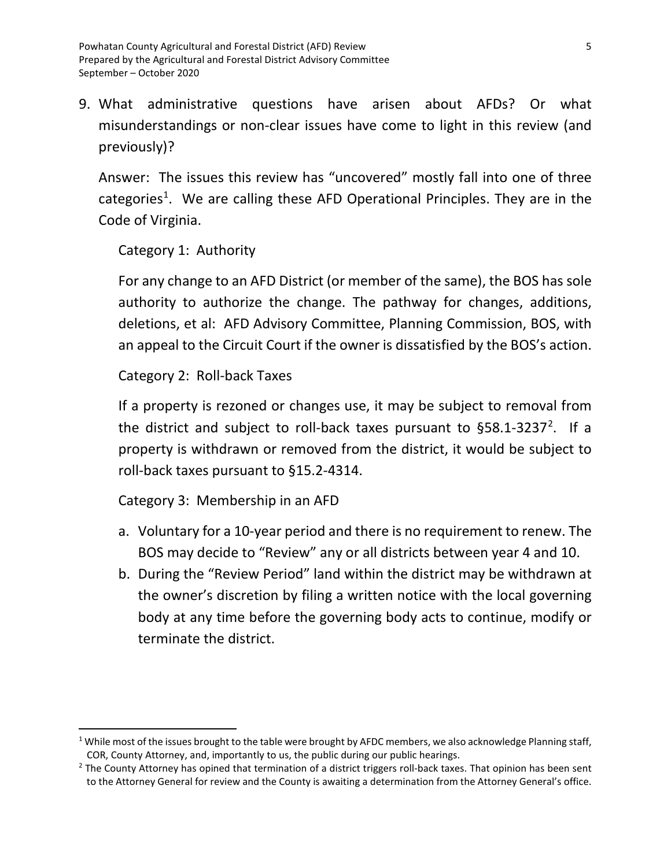9. What administrative questions have arisen about AFDs? Or what misunderstandings or non-clear issues have come to light in this review (and previously)?

Answer: The issues this review has "uncovered" mostly fall into one of three categories<sup>[1](#page-5-0)</sup>. We are calling these AFD Operational Principles. They are in the Code of Virginia.

Category 1: Authority

For any change to an AFD District (or member of the same), the BOS has sole authority to authorize the change. The pathway for changes, additions, deletions, et al: AFD Advisory Committee, Planning Commission, BOS, with an appeal to the Circuit Court if the owner is dissatisfied by the BOS's action.

Category 2: Roll-back Taxes

If a property is rezoned or changes use, it may be subject to removal from the district and subject to roll-back taxes pursuant to  $\S 58.1 - 3237^2$  $\S 58.1 - 3237^2$  $\S 58.1 - 3237^2$ . If a property is withdrawn or removed from the district, it would be subject to roll-back taxes pursuant to §15.2-4314.

Category 3: Membership in an AFD

- a. Voluntary for a 10-year period and there is no requirement to renew. The BOS may decide to "Review" any or all districts between year 4 and 10.
- b. During the "Review Period" land within the district may be withdrawn at the owner's discretion by filing a written notice with the local governing body at any time before the governing body acts to continue, modify or terminate the district.

<span id="page-5-0"></span> $1$  While most of the issues brought to the table were brought by AFDC members, we also acknowledge Planning staff, COR, County Attorney, and, importantly to us, the public during our public hearings.

<span id="page-5-1"></span> $2$  The County Attorney has opined that termination of a district triggers roll-back taxes. That opinion has been sent to the Attorney General for review and the County is awaiting a determination from the Attorney General's office.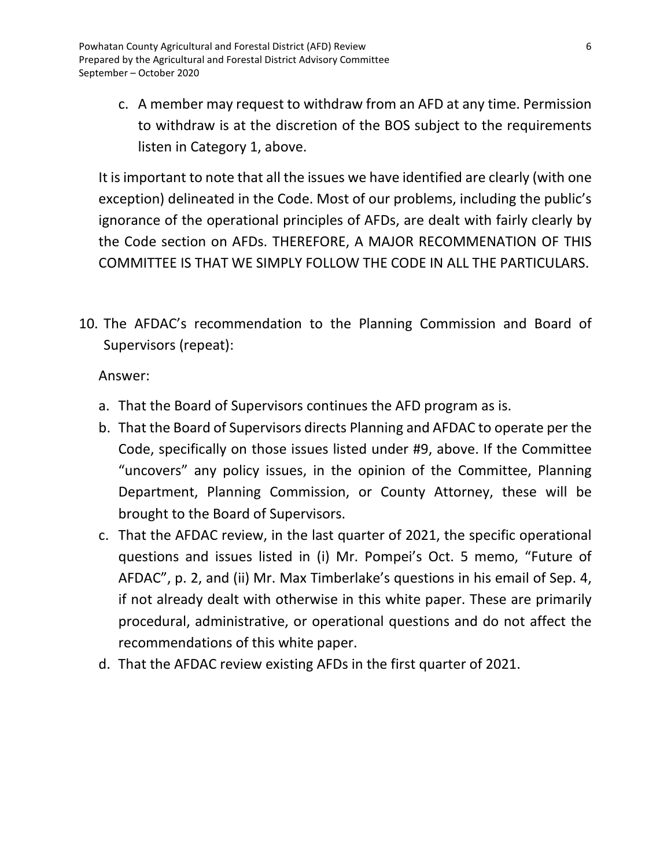c. A member may request to withdraw from an AFD at any time. Permission to withdraw is at the discretion of the BOS subject to the requirements listen in Category 1, above.

It is important to note that all the issues we have identified are clearly (with one exception) delineated in the Code. Most of our problems, including the public's ignorance of the operational principles of AFDs, are dealt with fairly clearly by the Code section on AFDs. THEREFORE, A MAJOR RECOMMENATION OF THIS COMMITTEE IS THAT WE SIMPLY FOLLOW THE CODE IN ALL THE PARTICULARS.

10. The AFDAC's recommendation to the Planning Commission and Board of Supervisors (repeat):

Answer:

- a. That the Board of Supervisors continues the AFD program as is.
- b. That the Board of Supervisors directs Planning and AFDAC to operate per the Code, specifically on those issues listed under #9, above. If the Committee "uncovers" any policy issues, in the opinion of the Committee, Planning Department, Planning Commission, or County Attorney, these will be brought to the Board of Supervisors.
- c. That the AFDAC review, in the last quarter of 2021, the specific operational questions and issues listed in (i) Mr. Pompei's Oct. 5 memo, "Future of AFDAC", p. 2, and (ii) Mr. Max Timberlake's questions in his email of Sep. 4, if not already dealt with otherwise in this white paper. These are primarily procedural, administrative, or operational questions and do not affect the recommendations of this white paper.
- d. That the AFDAC review existing AFDs in the first quarter of 2021.